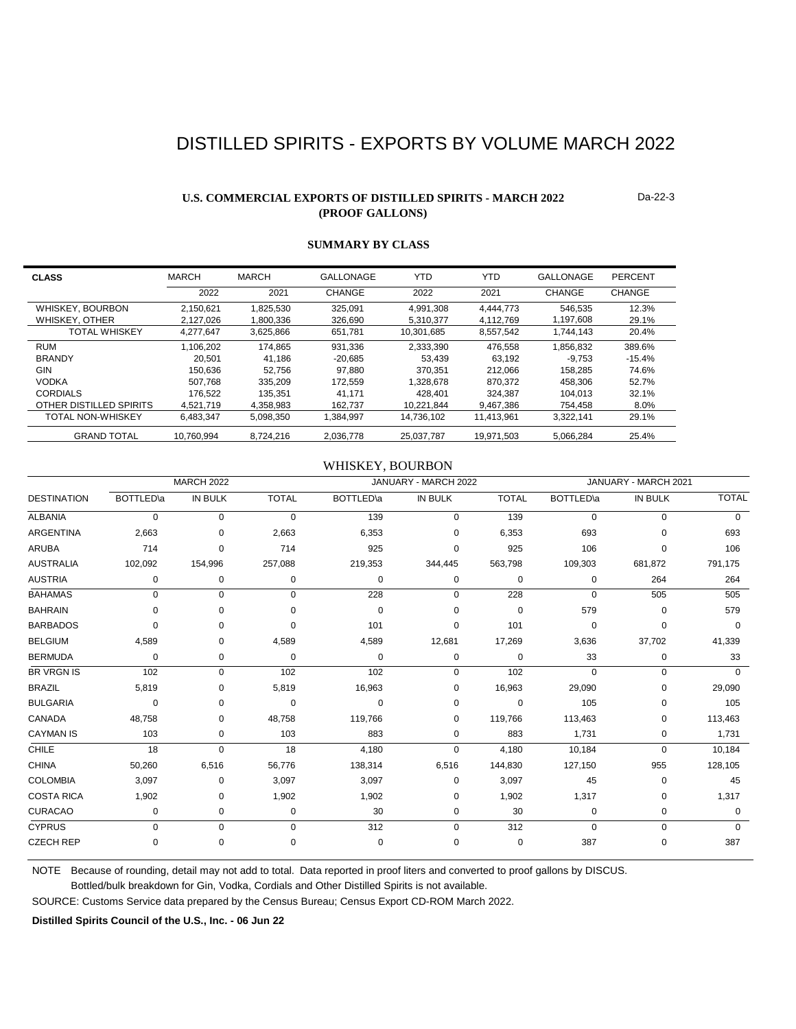# DISTILLED SPIRITS - EXPORTS BY VOLUME MARCH 2022

### **U.S. COMMERCIAL EXPORTS OF DISTILLED SPIRITS - MARCH 2022 (PROOF GALLONS)**

Da-22-3

| <b>CLASS</b>             | <b>MARCH</b> | <b>MARCH</b> | GALLONAGE | <b>YTD</b> | YTD        | GALLONAGE | PERCENT  |
|--------------------------|--------------|--------------|-----------|------------|------------|-----------|----------|
|                          | 2022         | 2021         | CHANGE    | 2022       | 2021       | CHANGE    | CHANGE   |
| WHISKEY, BOURBON         | 2.150.621    | 1.825.530    | 325.091   | 4,991,308  | 4.444.773  | 546,535   | 12.3%    |
| WHISKEY, OTHER           | 2.127.026    | 1.800.336    | 326.690   | 5.310.377  | 4.112.769  | 1.197.608 | 29.1%    |
| <b>TOTAL WHISKEY</b>     | 4.277.647    | 3,625,866    | 651.781   | 10.301.685 | 8.557.542  | 1.744.143 | 20.4%    |
| <b>RUM</b>               | 1.106.202    | 174.865      | 931.336   | 2.333.390  | 476.558    | 1.856.832 | 389.6%   |
| <b>BRANDY</b>            | 20.501       | 41.186       | $-20.685$ | 53.439     | 63.192     | $-9.753$  | $-15.4%$ |
| <b>GIN</b>               | 150.636      | 52.756       | 97.880    | 370.351    | 212.066    | 158.285   | 74.6%    |
| <b>VODKA</b>             | 507.768      | 335.209      | 172.559   | 1.328.678  | 870.372    | 458.306   | 52.7%    |
| <b>CORDIALS</b>          | 176.522      | 135.351      | 41.171    | 428.401    | 324.387    | 104.013   | 32.1%    |
| OTHER DISTILLED SPIRITS  | 4.521.719    | 4.358.983    | 162.737   | 10.221.844 | 9.467.386  | 754.458   | 8.0%     |
| <b>TOTAL NON-WHISKEY</b> | 6.483.347    | 5,098,350    | 1.384.997 | 14.736.102 | 11,413,961 | 3,322,141 | 29.1%    |
| <b>GRAND TOTAL</b>       | 10.760.994   | 8.724.216    | 2.036.778 | 25.037.787 | 19.971.503 | 5.066.284 | 25.4%    |

### **SUMMARY BY CLASS**

### WHISKEY, BOURBON

|                    | <b>MARCH 2022</b> |                |              |                   | JANUARY - MARCH 2022 |              |                   | JANUARY - MARCH 2021 |              |  |
|--------------------|-------------------|----------------|--------------|-------------------|----------------------|--------------|-------------------|----------------------|--------------|--|
| <b>DESTINATION</b> | <b>BOTTLED</b> \a | <b>IN BULK</b> | <b>TOTAL</b> | <b>BOTTLED</b> \a | IN BULK              | <b>TOTAL</b> | <b>BOTTLED</b> \a | IN BULK              | <b>TOTAL</b> |  |
| <b>ALBANIA</b>     | $\Omega$          | 0              | $\mathbf 0$  | 139               | 0                    | 139          | $\Omega$          | 0                    | $\Omega$     |  |
| <b>ARGENTINA</b>   | 2,663             | 0              | 2,663        | 6,353             | 0                    | 6,353        | 693               | U                    | 693          |  |
| <b>ARUBA</b>       | 714               | $\Omega$       | 714          | 925               | $\Omega$             | 925          | 106               | 0                    | 106          |  |
| <b>AUSTRALIA</b>   | 102,092           | 154,996        | 257,088      | 219,353           | 344,445              | 563,798      | 109,303           | 681,872              | 791,175      |  |
| <b>AUSTRIA</b>     | $\mathbf 0$       | 0              | $\mathbf 0$  | 0                 | $\mathbf 0$          | 0            | $\mathbf 0$       | 264                  | 264          |  |
| <b>BAHAMAS</b>     | $\Omega$          | 0              | $\Omega$     | 228               | $\mathbf 0$          | 228          | $\Omega$          | 505                  | 505          |  |
| <b>BAHRAIN</b>     | $\Omega$          | 0              | $\Omega$     | $\mathbf 0$       | 0                    | 0            | 579               | 0                    | 579          |  |
| <b>BARBADOS</b>    | $\Omega$          |                | 0            | 101               | 0                    | 101          | $\Omega$          | 0                    | $\Omega$     |  |
| <b>BELGIUM</b>     | 4,589             | 0              | 4,589        | 4,589             | 12,681               | 17,269       | 3,636             | 37,702               | 41,339       |  |
| <b>BERMUDA</b>     | 0                 | 0              | 0            | 0                 | 0                    | 0            | 33                | 0                    | 33           |  |
| <b>BR VRGN IS</b>  | 102               | $\mathbf 0$    | 102          | 102               | 0                    | 102          | $\Omega$          | $\Omega$             | $\Omega$     |  |
| <b>BRAZIL</b>      | 5,819             | 0              | 5,819        | 16,963            | 0                    | 16,963       | 29,090            | 0                    | 29,090       |  |
| <b>BULGARIA</b>    | $\Omega$          | $\Omega$       | $\Omega$     | 0                 | 0                    | 0            | 105               | $\Omega$             | 105          |  |
| CANADA             | 48,758            | 0              | 48,758       | 119,766           | 0                    | 119,766      | 113,463           | 0                    | 113,463      |  |
| <b>CAYMAN IS</b>   | 103               | 0              | 103          | 883               | 0                    | 883          | 1,731             | 0                    | 1,731        |  |
| <b>CHILE</b>       | 18                | $\Omega$       | 18           | 4,180             | $\Omega$             | 4,180        | 10,184            | $\Omega$             | 10,184       |  |
| <b>CHINA</b>       | 50,260            | 6,516          | 56,776       | 138,314           | 6,516                | 144,830      | 127,150           | 955                  | 128,105      |  |
| <b>COLOMBIA</b>    | 3,097             | 0              | 3,097        | 3,097             | 0                    | 3,097        | 45                | 0                    | 45           |  |
| <b>COSTA RICA</b>  | 1,902             | 0              | 1,902        | 1,902             | 0                    | 1,902        | 1,317             | 0                    | 1,317        |  |
| <b>CURACAO</b>     | $\mathbf 0$       | 0              | $\mathbf 0$  | 30                | 0                    | 30           | 0                 | 0                    | $\Omega$     |  |
| <b>CYPRUS</b>      | $\mathbf 0$       | $\mathbf 0$    | $\mathbf 0$  | 312               | 0                    | 312          | $\Omega$          | 0                    | $\mathbf 0$  |  |
| <b>CZECH REP</b>   | 0                 | 0              | 0            | 0                 | 0                    | 0            | 387               | 0                    | 387          |  |

NOTE Because of rounding, detail may not add to total. Data reported in proof liters and converted to proof gallons by DISCUS.

Bottled/bulk breakdown for Gin, Vodka, Cordials and Other Distilled Spirits is not available.

SOURCE: Customs Service data prepared by the Census Bureau; Census Export CD-ROM March 2022.

**Distilled Spirits Council of the U.S., Inc. - 06 Jun 22**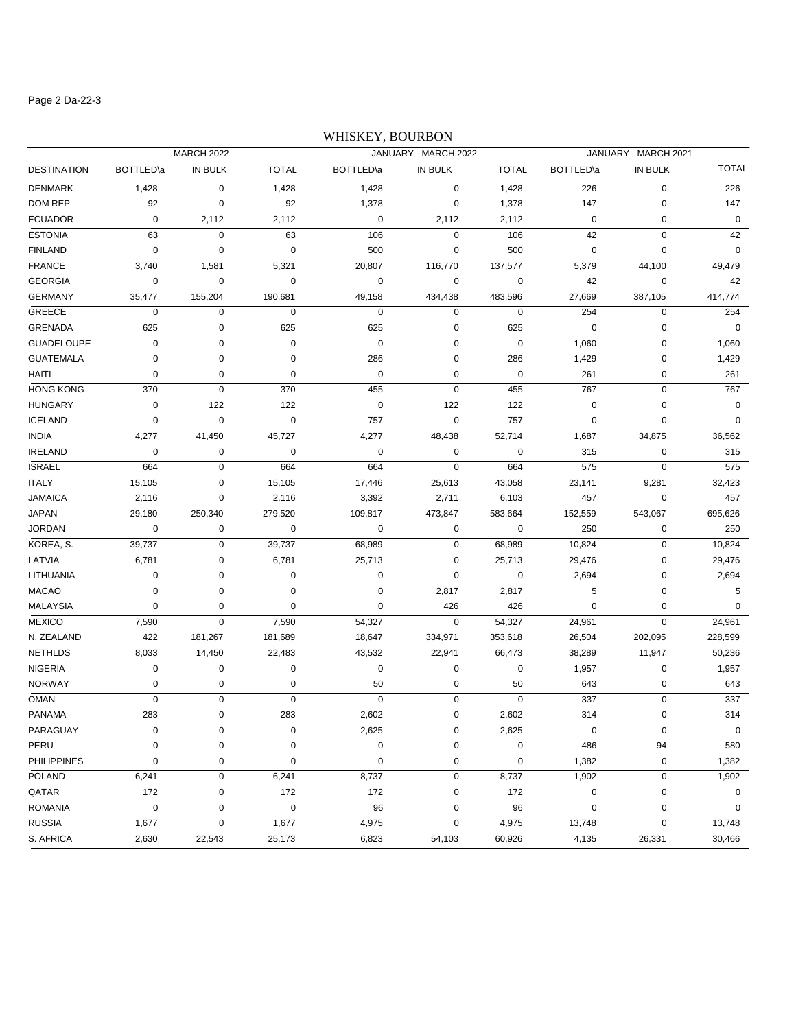### Page 2 Da-22-3

# WHISKEY, BOURBON

| <b>MARCH 2022</b>  |                  |           | JANUARY - MARCH 2022 |             |                | JANUARY - MARCH 2021 |             |                |              |
|--------------------|------------------|-----------|----------------------|-------------|----------------|----------------------|-------------|----------------|--------------|
| <b>DESTINATION</b> | <b>BOTTLED</b> a | IN BULK   | <b>TOTAL</b>         | BOTTLED\a   | <b>IN BULK</b> | <b>TOTAL</b>         | BOTTLED\a   | <b>IN BULK</b> | <b>TOTAL</b> |
| <b>DENMARK</b>     | 1,428            | 0         | 1,428                | 1,428       | $\mathbf 0$    | 1,428                | 226         | $\pmb{0}$      | 226          |
| DOM REP            | 92               | 0         | 92                   | 1,378       | 0              | 1,378                | 147         | $\pmb{0}$      | 147          |
| <b>ECUADOR</b>     | $\mathbf 0$      | 2,112     | 2,112                | 0           | 2,112          | 2,112                | $\mathbf 0$ | $\pmb{0}$      | $\mathbf 0$  |
| <b>ESTONIA</b>     | 63               | $\pmb{0}$ | 63                   | 106         | 0              | 106                  | 42          | $\pmb{0}$      | 42           |
| <b>FINLAND</b>     | $\pmb{0}$        | 0         | $\pmb{0}$            | 500         | 0              | 500                  | $\mathbf 0$ | $\pmb{0}$      | $\mathbf 0$  |
| <b>FRANCE</b>      | 3,740            | 1,581     | 5,321                | 20,807      | 116,770        | 137,577              | 5,379       | 44,100         | 49,479       |
| <b>GEORGIA</b>     | $\pmb{0}$        | $\pmb{0}$ | 0                    | $\pmb{0}$   | 0              | 0                    | 42          | $\pmb{0}$      | 42           |
| <b>GERMANY</b>     | 35,477           | 155,204   | 190,681              | 49,158      | 434,438        | 483,596              | 27,669      | 387,105        | 414,774      |
| <b>GREECE</b>      | $\mathbf 0$      | 0         | $\mathbf 0$          | $\pmb{0}$   | 0              | $\pmb{0}$            | 254         | $\pmb{0}$      | 254          |
| <b>GRENADA</b>     | 625              | 0         | 625                  | 625         | 0              | 625                  | $\mathbf 0$ | $\pmb{0}$      | $\mathbf 0$  |
| <b>GUADELOUPE</b>  | 0                | 0         | 0                    | 0           | 0              | 0                    | 1,060       | $\pmb{0}$      | 1,060        |
| <b>GUATEMALA</b>   | 0                | 0         | 0                    | 286         | 0              | 286                  | 1,429       | $\pmb{0}$      | 1,429        |
| HAITI              | 0                | 0         | 0                    | $\pmb{0}$   | $\mathbf 0$    | 0                    | 261         | 0              | 261          |
| <b>HONG KONG</b>   | 370              | 0         | 370                  | 455         | $\pmb{0}$      | 455                  | 767         | $\pmb{0}$      | 767          |
| <b>HUNGARY</b>     | 0                | 122       | 122                  | $\pmb{0}$   | 122            | 122                  | $\mathbf 0$ | $\pmb{0}$      | 0            |
| <b>ICELAND</b>     | 0                | $\pmb{0}$ | $\pmb{0}$            | 757         | $\pmb{0}$      | 757                  | $\mathbf 0$ | $\pmb{0}$      | $\mathbf 0$  |
| <b>INDIA</b>       | 4,277            | 41,450    | 45,727               | 4,277       | 48,438         | 52,714               | 1,687       | 34,875         | 36,562       |
| <b>IRELAND</b>     | $\mathbf 0$      | 0         | $\mathbf 0$          | 0           | 0              | 0                    | 315         | $\pmb{0}$      | 315          |
| <b>ISRAEL</b>      | 664              | 0         | 664                  | 664         | $\pmb{0}$      | 664                  | 575         | $\pmb{0}$      | 575          |
| <b>ITALY</b>       | 15,105           | 0         | 15,105               | 17,446      | 25,613         | 43,058               | 23,141      | 9,281          | 32,423       |
| <b>JAMAICA</b>     | 2,116            | 0         | 2,116                | 3,392       | 2,711          | 6,103                | 457         | $\pmb{0}$      | 457          |
| <b>JAPAN</b>       | 29,180           | 250,340   | 279,520              | 109,817     | 473,847        | 583,664              | 152,559     | 543,067        | 695,626      |
| <b>JORDAN</b>      | $\pmb{0}$        | 0         | 0                    | $\pmb{0}$   | 0              | $\pmb{0}$            | 250         | 0              | 250          |
| KOREA, S.          | 39,737           | 0         | 39,737               | 68,989      | $\pmb{0}$      | 68,989               | 10,824      | $\pmb{0}$      | 10,824       |
| LATVIA             | 6,781            | 0         | 6,781                | 25,713      | 0              | 25,713               | 29,476      | $\pmb{0}$      | 29,476       |
| LITHUANIA          | $\mathbf 0$      | 0         | 0                    | $\pmb{0}$   | 0              | $\pmb{0}$            | 2,694       | $\pmb{0}$      | 2,694        |
| <b>MACAO</b>       | $\mathbf 0$      | 0         | 0                    | $\pmb{0}$   | 2,817          | 2,817                | 5           | $\pmb{0}$      | 5            |
| MALAYSIA           | 0                | 0         | 0                    | $\pmb{0}$   | 426            | 426                  | $\mathbf 0$ | 0              | 0            |
| <b>MEXICO</b>      | 7,590            | 0         | 7,590                | 54,327      | $\mathbf 0$    | 54,327               | 24,961      | $\pmb{0}$      | 24,961       |
| N. ZEALAND         | 422              | 181,267   | 181,689              | 18,647      | 334,971        | 353,618              | 26,504      | 202,095        | 228,599      |
| <b>NETHLDS</b>     | 8,033            | 14,450    | 22,483               | 43,532      | 22,941         | 66,473               | 38,289      | 11,947         | 50,236       |
| <b>NIGERIA</b>     | 0                | 0         | 0                    | $\pmb{0}$   | 0              | $\pmb{0}$            | 1,957       | 0              | 1,957        |
| <b>NORWAY</b>      | 0                | 0         | 0                    | 50          | 0              | 50                   | 643         | 0              | 643          |
| <b>OMAN</b>        | 0                | 0         | $\mathbf 0$          | $\mathbf 0$ | $\pmb{0}$      | $\pmb{0}$            | 337         | $\pmb{0}$      | 337          |
| <b>PANAMA</b>      | 283              | 0         | 283                  | 2,602       | 0              | 2,602                | 314         | $\pmb{0}$      | 314          |
| PARAGUAY           | 0                | 0         | 0                    | 2,625       | $\pmb{0}$      | 2,625                | $\mathbf 0$ | 0              | $\mathbf 0$  |
| PERU               | 0                | 0         | 0                    | $\pmb{0}$   | $\pmb{0}$      | 0                    | 486         | 94             | 580          |
| <b>PHILIPPINES</b> | 0                | 0         | 0                    | $\mathbf 0$ | 0              | $\pmb{0}$            | 1,382       | $\pmb{0}$      | 1,382        |
| POLAND             | 6,241            | 0         | 6,241                | 8,737       | $\pmb{0}$      | 8,737                | 1,902       | $\pmb{0}$      | 1,902        |
| QATAR              | 172              | 0         | 172                  | 172         | 0              | 172                  | $\pmb{0}$   | 0              | 0            |
| <b>ROMANIA</b>     | $\pmb{0}$        | 0         | $\pmb{0}$            | 96          | 0              | 96                   | $\pmb{0}$   | $\pmb{0}$      | 0            |
| <b>RUSSIA</b>      | 1,677            | 0         | 1,677                | 4,975       | 0              | 4,975                | 13,748      | $\pmb{0}$      | 13,748       |
| S. AFRICA          | 2,630            | 22,543    | 25,173               | 6,823       | 54,103         | 60,926               | 4,135       | 26,331         | 30,466       |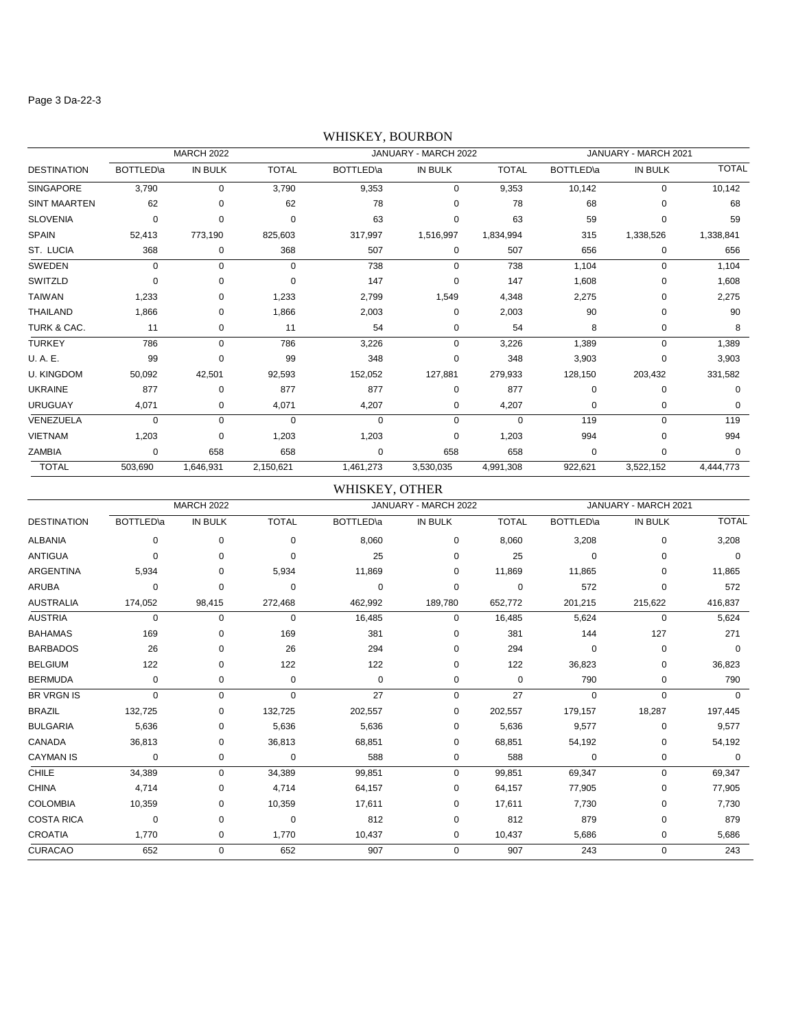#### Page 3 Da-22-3

# DESTINATION BOTTLED\a IN BULK TOTAL BOTTLED\a IN BULK TOTAL BOTTLED\a IN BULK TOTAL MARCH 2022 JANUARY - MARCH 2022 JANUARY - MARCH 2021 SINGAPORE 3,790 0 3,790 9,353 0 9,353 10,142 0 10,142 SINT MAARTEN 62 0 62 78 0 78 68 0 68 SLOVENIA 0 0 0 63 0 63 59 0 59 SPAIN 52,413 773,190 825,603 317,997 1,516,997 1,834,994 315 1,338,526 1,338,841 ST. LUCIA 368 0 368 507 0 507 656 0 656 SWEDEN 0 0 0 738 0 738 1,104 0 1,104 SWITZLD 0 0 0 147 0 147 1,608 0 1,608 TAIWAN 1,233 0 1,233 2,799 1,549 4,348 2,275 0 2,275 THAILAND 1,866 0 1,866 2,003 0 90 0 90 TURK & CAC. 11 0 11 54 0 54 8 0 8 TURKEY 786 0 786 3,226 0 3,226 1,389 0 1,389 U. A. E. 99 0 99 348 0 348 3,903 0 3,903 U. KINGDOM 50,092 42,501 92,593 152,052 127,881 279,933 128,150 203,432 331,582 UKRAINE 877 0 877 877 0 877 0 0 0 URUGUAY 4,071 0 4,071 4,207 0 4,207 0 0 0 VENEZUELA 0 0 0 0 0 0 119 0 119 VIETNAM 1,203 0 1,203 1,203 0 1,203 994 0 994 ZAMBIA 0 658 658 0 658 658 0 0 0 TOTAL 503,690 1,646,931 2,150,621 1,461,273 3,530,035 4,991,308 922,621 3,522,152 4,444,773

### WHISKEY, BOURBON

### WHISKEY, OTHER

|                    |                   | <b>MARCH 2022</b> |              |                  | JANUARY - MARCH 2022 |              |                   | JANUARY - MARCH 2021 |              |
|--------------------|-------------------|-------------------|--------------|------------------|----------------------|--------------|-------------------|----------------------|--------------|
| <b>DESTINATION</b> | <b>BOTTLED</b> \a | <b>IN BULK</b>    | <b>TOTAL</b> | <b>BOTTLED\a</b> | IN BULK              | <b>TOTAL</b> | <b>BOTTLED</b> \a | IN BULK              | <b>TOTAL</b> |
| <b>ALBANIA</b>     | 0                 | $\mathbf 0$       | $\Omega$     | 8,060            | 0                    | 8,060        | 3,208             | 0                    | 3,208        |
| <b>ANTIGUA</b>     | $\Omega$          | $\Omega$          | $\Omega$     | 25               | 0                    | 25           | $\Omega$          | 0                    | $\Omega$     |
| <b>ARGENTINA</b>   | 5,934             | 0                 | 5,934        | 11,869           | 0                    | 11,869       | 11,865            | 0                    | 11,865       |
| <b>ARUBA</b>       | 0                 | 0                 | $\Omega$     | 0                | $\mathbf 0$          | 0            | 572               | 0                    | 572          |
| <b>AUSTRALIA</b>   | 174,052           | 98,415            | 272,468      | 462,992          | 189,780              | 652,772      | 201,215           | 215,622              | 416,837      |
| <b>AUSTRIA</b>     | $\mathbf 0$       | $\mathbf 0$       | $\mathbf 0$  | 16,485           | 0                    | 16,485       | 5,624             | 0                    | 5,624        |
| <b>BAHAMAS</b>     | 169               | 0                 | 169          | 381              | 0                    | 381          | 144               | 127                  | 271          |
| <b>BARBADOS</b>    | 26                | 0                 | 26           | 294              | $\Omega$             | 294          | $\Omega$          | 0                    | $\Omega$     |
| <b>BELGIUM</b>     | 122               | 0                 | 122          | 122              | 0                    | 122          | 36,823            | 0                    | 36,823       |
| <b>BERMUDA</b>     | 0                 | 0                 | 0            | 0                | 0                    | 0            | 790               | 0                    | 790          |
| <b>BR VRGN IS</b>  | $\Omega$          | $\mathbf 0$       | $\Omega$     | 27               | $\mathbf 0$          | 27           | $\Omega$          | $\Omega$             | $\Omega$     |
| <b>BRAZIL</b>      | 132,725           | 0                 | 132,725      | 202,557          | $\mathbf 0$          | 202,557      | 179,157           | 18,287               | 197,445      |
| <b>BULGARIA</b>    | 5,636             | 0                 | 5,636        | 5,636            | 0                    | 5,636        | 9,577             | 0                    | 9,577        |
| CANADA             | 36,813            | 0                 | 36,813       | 68,851           | 0                    | 68,851       | 54,192            | 0                    | 54,192       |
| <b>CAYMAN IS</b>   | $\mathbf 0$       | 0                 | $\mathbf 0$  | 588              | 0                    | 588          | $\mathbf 0$       | 0                    | 0            |
| CHILE              | 34,389            | $\mathbf 0$       | 34,389       | 99,851           | $\mathbf 0$          | 99,851       | 69,347            | 0                    | 69,347       |
| <b>CHINA</b>       | 4,714             | 0                 | 4,714        | 64,157           | 0                    | 64,157       | 77,905            | 0                    | 77,905       |
| <b>COLOMBIA</b>    | 10,359            | 0                 | 10,359       | 17,611           | 0                    | 17,611       | 7,730             | 0                    | 7,730        |
| <b>COSTA RICA</b>  | 0                 | 0                 | $\Omega$     | 812              | 0                    | 812          | 879               | 0                    | 879          |
| <b>CROATIA</b>     | 1,770             | 0                 | 1,770        | 10,437           | 0                    | 10,437       | 5,686             | 0                    | 5,686        |
| <b>CURACAO</b>     | 652               | $\mathbf 0$       | 652          | 907              | $\mathbf 0$          | 907          | 243               | 0                    | 243          |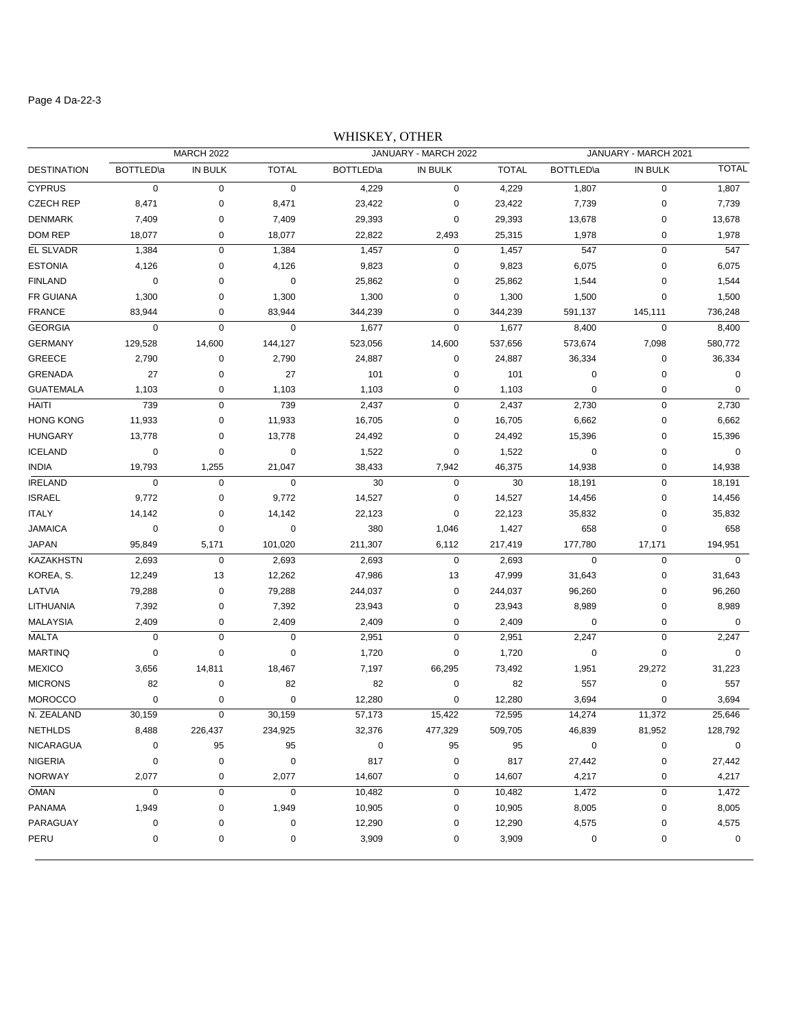### Page 4 Da-22-3

# WHISKEY, OTHER

| <b>MARCH 2022</b>  |                   |             | JANUARY - MARCH 2022 |                   |             |              | JANUARY - MARCH 2021 |         |              |
|--------------------|-------------------|-------------|----------------------|-------------------|-------------|--------------|----------------------|---------|--------------|
| <b>DESTINATION</b> | <b>BOTTLED</b> \a | IN BULK     | <b>TOTAL</b>         | <b>BOTTLED</b> \a | IN BULK     | <b>TOTAL</b> | <b>BOTTLED</b> \a    | IN BULK | <b>TOTAL</b> |
| <b>CYPRUS</b>      | 0                 | 0           | $\pmb{0}$            | 4,229             | $\mathbf 0$ | 4,229        | 1,807                | 0       | 1,807        |
| <b>CZECH REP</b>   | 8,471             | 0           | 8,471                | 23,422            | $\mathbf 0$ | 23,422       | 7,739                | 0       | 7,739        |
| <b>DENMARK</b>     | 7,409             | 0           | 7,409                | 29,393            | $\mathbf 0$ | 29,393       | 13,678               | 0       | 13,678       |
| <b>DOM REP</b>     | 18,077            | 0           | 18,077               | 22,822            | 2,493       | 25,315       | 1,978                | 0       | 1,978        |
| EL SLVADR          | 1,384             | $\pmb{0}$   | 1,384                | 1,457             | $\pmb{0}$   | 1,457        | 547                  | 0       | 547          |
| <b>ESTONIA</b>     | 4,126             | 0           | 4,126                | 9,823             | $\mathbf 0$ | 9,823        | 6,075                | 0       | 6,075        |
| <b>FINLAND</b>     | 0                 | 0           | $\pmb{0}$            | 25,862            | 0           | 25,862       | 1,544                | 0       | 1,544        |
| FR GUIANA          | 1,300             | 0           | 1,300                | 1,300             | 0           | 1,300        | 1,500                | 0       | 1,500        |
| <b>FRANCE</b>      | 83,944            | $\mathbf 0$ | 83,944               | 344,239           | 0           | 344,239      | 591,137              | 145,111 | 736,248      |
| <b>GEORGIA</b>     | 0                 | $\pmb{0}$   | $\mathbf 0$          | 1,677             | $\mathbf 0$ | 1,677        | 8,400                | 0       | 8,400        |
| <b>GERMANY</b>     | 129,528           | 14,600      | 144,127              | 523,056           | 14,600      | 537,656      | 573,674              | 7,098   | 580,772      |
| <b>GREECE</b>      | 2,790             | 0           | 2,790                | 24,887            | $\pmb{0}$   | 24,887       | 36,334               | 0       | 36,334       |
| <b>GRENADA</b>     | 27                | 0           | 27                   | 101               | 0           | 101          | 0                    | 0       | $\mathbf 0$  |
| <b>GUATEMALA</b>   | 1,103             | 0           | 1,103                | 1,103             | 0           | 1,103        | 0                    | 0       | $\mathbf 0$  |
| HAITI              | 739               | $\pmb{0}$   | 739                  | 2,437             | $\pmb{0}$   | 2,437        | 2,730                | 0       | 2,730        |
| <b>HONG KONG</b>   | 11,933            | 0           | 11,933               | 16,705            | $\pmb{0}$   | 16,705       | 6,662                | 0       | 6,662        |
| <b>HUNGARY</b>     | 13,778            | 0           | 13,778               | 24,492            | $\pmb{0}$   | 24,492       | 15,396               | 0       | 15,396       |
| <b>ICELAND</b>     | 0                 | $\pmb{0}$   | $\mathbf 0$          | 1,522             | $\mathbf 0$ | 1,522        | 0                    | 0       | $\mathbf 0$  |
| <b>INDIA</b>       | 19,793            | 1,255       | 21,047               | 38,433            | 7,942       | 46,375       | 14,938               | 0       | 14,938       |
| <b>IRELAND</b>     | 0                 | $\pmb{0}$   | $\pmb{0}$            | 30                | $\mathbf 0$ | 30           | 18,191               | 0       | 18,191       |
| <b>ISRAEL</b>      | 9,772             | 0           | 9,772                | 14,527            | $\mathbf 0$ | 14,527       | 14,456               | 0       | 14,456       |
| <b>ITALY</b>       | 14,142            | 0           | 14,142               | 22,123            | $\mathbf 0$ | 22,123       | 35,832               | 0       | 35,832       |
| <b>JAMAICA</b>     | 0                 | $\pmb{0}$   | $\pmb{0}$            | 380               | 1,046       | 1,427        | 658                  | 0       | 658          |
| <b>JAPAN</b>       | 95,849            | 5,171       | 101,020              | 211,307           | 6,112       | 217,419      | 177,780              | 17,171  | 194,951      |
| <b>KAZAKHSTN</b>   | 2,693             | $\pmb{0}$   | 2,693                | 2,693             | $\mathbf 0$ | 2,693        | $\pmb{0}$            | 0       | $\mathbf 0$  |
| KOREA, S.          | 12,249            | 13          | 12,262               | 47,986            | 13          | 47,999       | 31,643               | 0       | 31,643       |
| LATVIA             | 79,288            | 0           | 79,288               | 244,037           | $\mathbf 0$ | 244,037      | 96,260               | 0       | 96,260       |
| LITHUANIA          | 7,392             | 0           | 7,392                | 23,943            | $\mathbf 0$ | 23,943       | 8,989                | 0       | 8,989        |
| <b>MALAYSIA</b>    | 2,409             | 0           | 2,409                | 2,409             | 0           | 2,409        | 0                    | 0       | $\mathbf 0$  |
| <b>MALTA</b>       | 0                 | $\pmb{0}$   | $\mathbf 0$          | 2,951             | $\mathbf 0$ | 2,951        | 2,247                | 0       | 2,247        |
| <b>MARTINQ</b>     | 0                 | $\pmb{0}$   | 0                    | 1,720             | 0           | 1,720        | 0                    | 0       | $\mathbf 0$  |
| <b>MEXICO</b>      | 3,656             | 14,811      | 18,467               | 7,197             | 66,295      | 73,492       | 1,951                | 29,272  | 31,223       |
| <b>MICRONS</b>     | 82                | 0           | 82                   | 82                | $\pmb{0}$   | 82           | 557                  | 0       | 557          |
| <b>MOROCCO</b>     | 0                 | 0           | $\mathbf 0$          | 12,280            | 0           | 12,280       | 3,694                | 0       | 3,694        |
| N. ZEALAND         | 30,159            | $\pmb{0}$   | 30,159               | 57,173            | 15,422      | 72,595       | 14,274               | 11,372  | 25,646       |
| <b>NETHLDS</b>     | 8,488             | 226,437     | 234,925              | 32,376            | 477,329     | 509,705      | 46,839               | 81,952  | 128,792      |
| <b>NICARAGUA</b>   | 0                 | 95          | 95                   | $\pmb{0}$         | 95          | 95           | 0                    | 0       | 0            |
| <b>NIGERIA</b>     | 0                 | 0           | $\pmb{0}$            | 817               | 0           | 817          | 27,442               | 0       | 27,442       |
| <b>NORWAY</b>      | 2,077             | 0           | 2,077                | 14,607            | $\pmb{0}$   | 14,607       | 4,217                | 0       | 4,217        |
| <b>OMAN</b>        | 0                 | 0           | $\pmb{0}$            | 10,482            | $\pmb{0}$   | 10,482       | 1,472                | 0       | 1,472        |
| <b>PANAMA</b>      | 1,949             | 0           | 1,949                | 10,905            | $\pmb{0}$   | 10,905       | 8,005                | 0       | 8,005        |
| PARAGUAY           | 0                 | 0           | 0                    | 12,290            | $\pmb{0}$   | 12,290       | 4,575                | 0       | 4,575        |
| PERU               | 0                 | 0           | 0                    | 3,909             | 0           | 3,909        | 0                    | 0       | 0            |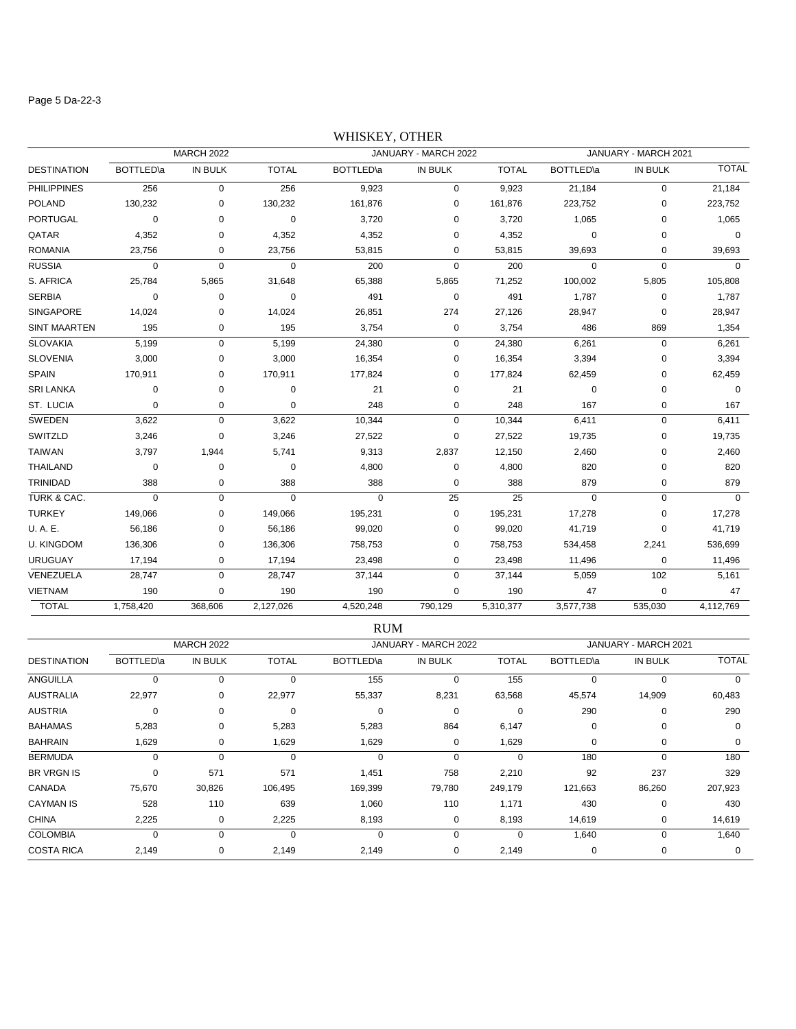#### Page 5 Da-22-3

# DESTINATION BOTTLED\a IN BULK TOTAL BOTTLED\a IN BULK TOTAL BOTTLED\a IN BULK TOTAL MARCH 2022 JANUARY - MARCH 2022 JANUARY - MARCH 2021 PHILIPPINES 256 0 256 9,923 0 9,923 21,184 0 21,184 POLAND 130,232 0 130,232 161,876 0 161,876 223,752 0 223,752 PORTUGAL 0 0 0 3,720 0 3,720 1,065 0 1,065 QATAR 4,352 0 4,352 4,352 0 4,352 0 0 0 ROMANIA 23,756 0 23,756 53,815 0 53,815 39,693 0 39,693 RUSSIA 0 0 0 200 0 200 0 0 0 S. AFRICA 25,784 5,865 31,648 65,388 5,865 71,252 100,002 5,805 105,808 SERBIA 0 0 0 491 0 491 1,787 0 1,787 SINGAPORE 14,024 0 14,024 26,851 274 27,126 28,947 0 28,947 SINT MAARTEN 195 0 195 3,754 0 3,754 486 869 1,354 SLOVAKIA 5,199 0 5,199 24,380 0 24,380 6,261 0 6,261 SLOVENIA 3,000 0 3,000 16,354 0 16,354 3,394 0 3,394 SPAIN 170,911 0 170,911 177,824 0 177,824 62,459 0 62,459 SRI LANKA 0 0 0 21 0 21 0 0 0 ST. LUCIA 0 0 0 248 0 248 167 0 167 SWEDEN 3,622 0 3,622 10,344 0 10,344 6,411 0 6,411 SWITZLD 3,246 0 3,246 27,522 0 27,522 19,735 0 19,735 TAIWAN 3,797 1,944 5,741 9,313 2,837 12,150 2,460 0 2,460 THAILAND 0 0 0 4,800 0 4,800 820 0 820 TRINIDAD 388 0 388 388 0 388 879 0 879 TURK & CAC. 0 0 0 0 25 25 0 0 0 TURKEY 149,066 0 149,066 195,231 0 195,231 17,278 0 17,278 U. A. E. 56,186 0 56,186 99,020 0 99,020 41,719 0 41,719 U. KINGDOM 136,306 0 136,306 758,753 0 758,753 534,458 2,241 536,699 URUGUAY 17,194 0 17,194 23,498 0 23,498 11,496 0 11,496 VENEZUELA 28,747 0 28,747 37,144 0 37,144 5,059 102 5,161 VIETNAM 190 0 190 190 0 190 47 0 47 TOTAL 1,758,420 368,606 2,127,026 4,520,248 790,129 5,310,377 3,577,738 535,030 4,112,769

### WHISKEY, OTHER

|                    |           |                   |              | <b>RUM</b>  |                      |              |                   |                      |              |
|--------------------|-----------|-------------------|--------------|-------------|----------------------|--------------|-------------------|----------------------|--------------|
|                    |           | <b>MARCH 2022</b> |              |             | JANUARY - MARCH 2022 |              |                   | JANUARY - MARCH 2021 |              |
| <b>DESTINATION</b> | BOTTLED\a | IN BULK           | <b>TOTAL</b> | BOTTLED\a   | IN BULK              | <b>TOTAL</b> | <b>BOTTLED</b> \a | IN BULK              | <b>TOTAL</b> |
| ANGUILLA           | $\Omega$  | 0                 | $\Omega$     | 155         | 0                    | 155          | $\Omega$          | 0                    | 0            |
| <b>AUSTRALIA</b>   | 22,977    | 0                 | 22,977       | 55,337      | 8,231                | 63,568       | 45,574            | 14,909               | 60,483       |
| <b>AUSTRIA</b>     | 0         | 0                 | 0            | 0           | 0                    | $\Omega$     | 290               | 0                    | 290          |
| <b>BAHAMAS</b>     | 5,283     | 0                 | 5,283        | 5,283       | 864                  | 6,147        | 0                 | 0                    | 0            |
| <b>BAHRAIN</b>     | 1,629     | 0                 | 1,629        | 1,629       | 0                    | 1,629        | $\mathbf 0$       | 0                    | 0            |
| <b>BERMUDA</b>     | 0         | 0                 | 0            | $\mathbf 0$ | 0                    | 0            | 180               | 0                    | 180          |
| <b>BR VRGN IS</b>  | 0         | 571               | 571          | 1,451       | 758                  | 2,210        | 92                | 237                  | 329          |
| CANADA             | 75,670    | 30,826            | 106,495      | 169,399     | 79,780               | 249,179      | 121,663           | 86,260               | 207,923      |
| <b>CAYMAN IS</b>   | 528       | 110               | 639          | 1,060       | 110                  | 1,171        | 430               | 0                    | 430          |
| <b>CHINA</b>       | 2,225     | 0                 | 2,225        | 8,193       | 0                    | 8,193        | 14,619            | 0                    | 14,619       |
| <b>COLOMBIA</b>    | 0         | 0                 | 0            | $\mathbf 0$ | 0                    | 0            | 1,640             | 0                    | 1,640        |
| <b>COSTA RICA</b>  | 2,149     | 0                 | 2,149        | 2,149       | 0                    | 2,149        | 0                 | 0                    | 0            |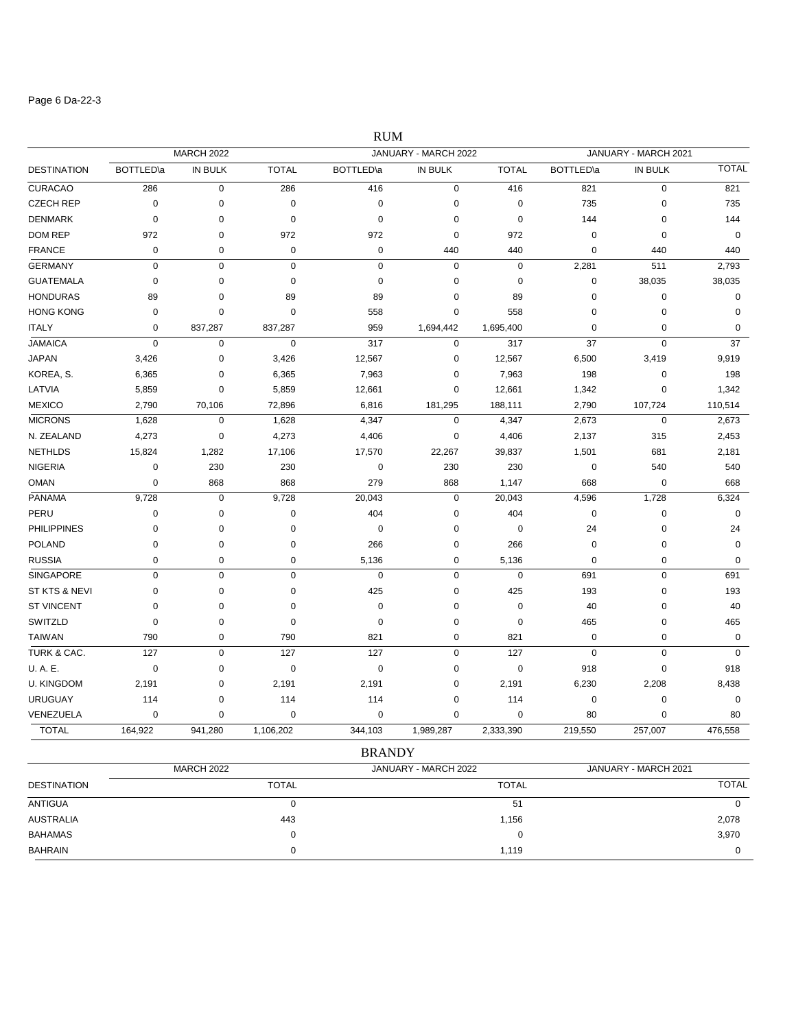### Page 6 Da-22-3

|                    |                   |                   |              | <b>RUM</b>        |                      |              |                   |                      |              |
|--------------------|-------------------|-------------------|--------------|-------------------|----------------------|--------------|-------------------|----------------------|--------------|
|                    |                   | <b>MARCH 2022</b> |              |                   | JANUARY - MARCH 2022 |              |                   | JANUARY - MARCH 2021 |              |
| <b>DESTINATION</b> | <b>BOTTLED</b> \a | IN BULK           | <b>TOTAL</b> | <b>BOTTLED</b> \a | IN BULK              | <b>TOTAL</b> | <b>BOTTLED</b> \a | IN BULK              | <b>TOTAL</b> |
| <b>CURACAO</b>     | 286               | $\mathsf 0$       | 286          | 416               | $\mathbf 0$          | 416          | 821               | $\mathbf 0$          | 821          |
| <b>CZECH REP</b>   | $\mathbf 0$       | $\mathbf 0$       | 0            | $\mathbf 0$       | $\mathbf 0$          | $\mathbf 0$  | 735               | 0                    | 735          |
| <b>DENMARK</b>     | $\mathbf 0$       | 0                 | $\mathbf 0$  | $\mathbf 0$       | 0                    | $\mathbf 0$  | 144               | 0                    | 144          |
| <b>DOM REP</b>     | 972               | $\mathbf 0$       | 972          | 972               | 0                    | 972          | $\mathbf 0$       | $\mathbf 0$          | $\mathbf 0$  |
| <b>FRANCE</b>      | 0                 | 0                 | 0            | $\pmb{0}$         | 440                  | 440          | 0                 | 440                  | 440          |
| <b>GERMANY</b>     | $\mathbf 0$       | $\pmb{0}$         | $\mathbf 0$  | $\pmb{0}$         | $\pmb{0}$            | $\pmb{0}$    | 2,281             | 511                  | 2,793        |
| <b>GUATEMALA</b>   | $\mathbf 0$       | $\mathbf 0$       | $\mathbf 0$  | $\mathbf 0$       | 0                    | $\mathbf 0$  | $\mathbf 0$       | 38,035               | 38,035       |
| <b>HONDURAS</b>    | 89                | 0                 | 89           | 89                | 0                    | 89           | $\mathbf 0$       | $\mathbf 0$          | $\mathbf 0$  |
| <b>HONG KONG</b>   | $\mathbf 0$       | $\mathbf 0$       | 0            | 558               | 0                    | 558          | $\mathbf 0$       | 0                    | $\mathbf 0$  |
| <b>ITALY</b>       | $\mathbf 0$       | 837,287           | 837,287      | 959               | 1,694,442            | 1,695,400    | 0                 | 0                    | $\mathbf 0$  |
| <b>JAMAICA</b>     | $\mathbf 0$       | $\pmb{0}$         | $\mathbf 0$  | 317               | $\pmb{0}$            | 317          | 37                | $\mathsf 0$          | 37           |
| <b>JAPAN</b>       | 3,426             | 0                 | 3,426        | 12,567            | $\mathbf 0$          | 12,567       | 6,500             | 3,419                | 9,919        |
| KOREA, S.          | 6,365             | $\pmb{0}$         | 6,365        | 7,963             | $\pmb{0}$            | 7,963        | 198               | $\pmb{0}$            | 198          |
| LATVIA             | 5,859             | $\mathbf 0$       | 5,859        | 12,661            | 0                    | 12,661       | 1,342             | $\mathbf 0$          | 1,342        |
| <b>MEXICO</b>      | 2,790             | 70,106            | 72,896       | 6,816             | 181,295              | 188,111      | 2,790             | 107,724              | 110,514      |
| <b>MICRONS</b>     | 1,628             | $\pmb{0}$         | 1,628        | 4,347             | $\mathbf 0$          | 4,347        | 2,673             | 0                    | 2,673        |
| N. ZEALAND         | 4,273             | $\mathbf 0$       | 4,273        | 4,406             | 0                    | 4,406        | 2,137             | 315                  | 2,453        |
| <b>NETHLDS</b>     | 15,824            | 1,282             | 17,106       | 17,570            | 22,267               | 39,837       | 1,501             | 681                  | 2,181        |
| <b>NIGERIA</b>     | $\mathbf 0$       | 230               | 230          | 0                 | 230                  | 230          | $\mathbf 0$       | 540                  | 540          |
| <b>OMAN</b>        | $\mathbf 0$       | 868               | 868          | 279               | 868                  | 1,147        | 668               | 0                    | 668          |
| <b>PANAMA</b>      | 9,728             | 0                 | 9,728        | 20,043            | 0                    | 20,043       | 4,596             | 1,728                | 6,324        |
| PERU               | $\mathbf 0$       | $\mathbf 0$       | 0            | 404               | 0                    | 404          | $\mathbf 0$       | $\mathbf 0$          | $\mathbf 0$  |
| <b>PHILIPPINES</b> | $\mathbf 0$       | $\mathbf 0$       | 0            | 0                 | 0                    | $\mathbf 0$  | 24                | 0                    | 24           |
| <b>POLAND</b>      | $\mathbf 0$       | $\mathbf 0$       | $\mathbf 0$  | 266               | 0                    | 266          | $\mathbf 0$       | $\mathbf 0$          | $\mathbf 0$  |
| <b>RUSSIA</b>      | $\mathbf 0$       | $\mathbf 0$       | $\mathbf 0$  | 5,136             | $\mathbf 0$          | 5,136        | $\mathbf 0$       | 0                    | $\mathbf 0$  |
| <b>SINGAPORE</b>   | $\Omega$          | $\mathbf 0$       | $\mathbf 0$  | $\mathbf 0$       | $\mathbf 0$          | $\mathbf 0$  | 691               | $\mathbf 0$          | 691          |
| ST KTS & NEVI      | $\mathbf 0$       | 0                 | 0            | 425               | 0                    | 425          | 193               | 0                    | 193          |
| <b>ST VINCENT</b>  | $\Omega$          | 0                 | $\mathbf 0$  | 0                 | 0                    | $\mathbf 0$  | 40                | 0                    | 40           |
| SWITZLD            | 0                 | $\mathbf 0$       | 0            | 0                 | 0                    | 0            | 465               | 0                    | 465          |
| <b>TAIWAN</b>      | 790               | $\pmb{0}$         | 790          | 821               | 0                    | 821          | $\mathbf 0$       | 0                    | $\mathbf 0$  |
| TURK & CAC.        | 127               | $\pmb{0}$         | 127          | 127               | $\pmb{0}$            | 127          | $\mathbf 0$       | $\mathsf 0$          | $\mathbf 0$  |
| U.A.E.             | $\mathbf 0$       | $\mathbf 0$       | $\mathbf 0$  | $\mathbf 0$       | $\mathbf 0$          | $\mathbf 0$  | 918               | $\mathbf 0$          | 918          |
| <b>U. KINGDOM</b>  | 2,191             | 0                 | 2,191        | 2,191             | 0                    | 2,191        | 6,230             | 2,208                | 8,438        |
| <b>URUGUAY</b>     | 114               | 0                 | 114          | 114               | 0                    | 114          | $\mathbf 0$       | 0                    | $\mathbf 0$  |
| VENEZUELA          | $\Omega$          | $\Omega$          | $\mathbf 0$  | $\mathbf 0$       | $\Omega$             | $\Omega$     | 80                | $\Omega$             | 80           |

| TOTAL | 164,922 | 941.280 | ,106,202 | 344,103 | .989,287 | 2,333,390 | 219,550 | 257,007 | 476,558 |
|-------|---------|---------|----------|---------|----------|-----------|---------|---------|---------|
|       |         |         |          | BRANDY  |          |           |         |         |         |

|                    | <b>MARCH 2022</b> | JANUARY - MARCH 2022 | JANUARY - MARCH 2021 |
|--------------------|-------------------|----------------------|----------------------|
| <b>DESTINATION</b> | <b>TOTAL</b>      | <b>TOTAL</b>         | <b>TOTAL</b>         |
| <b>ANTIGUA</b>     |                   | 51                   | $\Omega$             |
| <b>AUSTRALIA</b>   | 443               | 1,156                | 2,078                |
| <b>BAHAMAS</b>     |                   |                      | 3,970                |
| <b>BAHRAIN</b>     |                   | 1.119                | 0                    |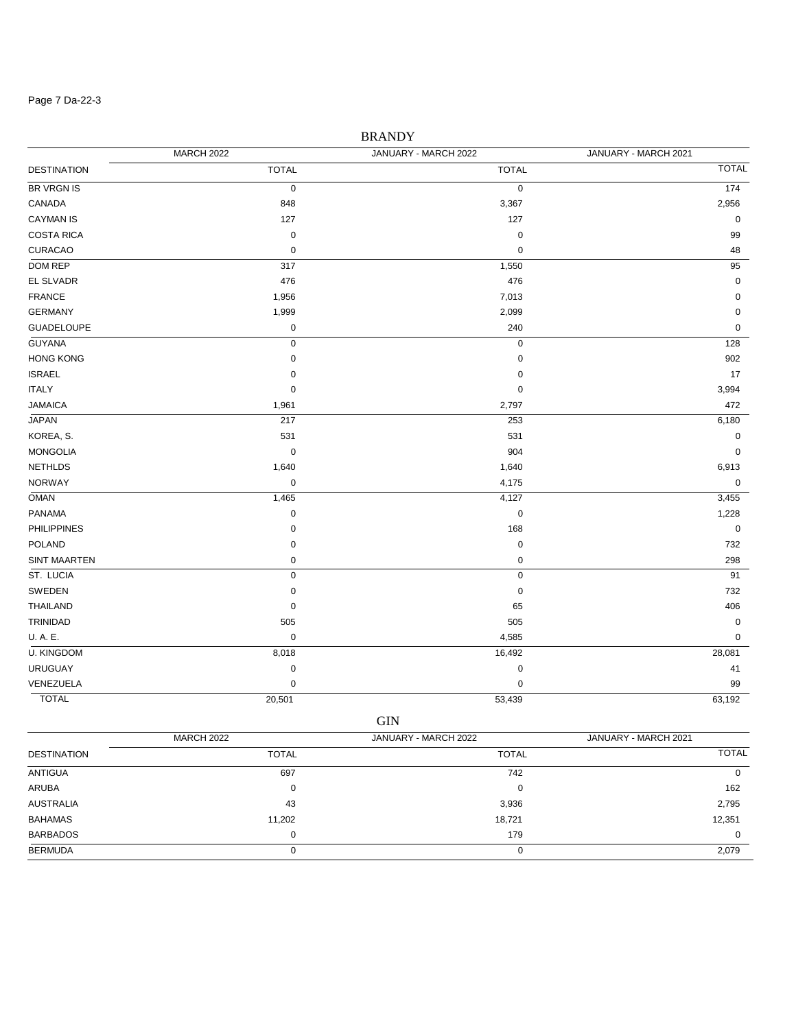#### Page 7 Da-22-3

# DESTINATION TOTAL TOTAL TOTAL MARCH 2022 JANUARY - MARCH 2022 JANUARY - MARCH 2021 BR VRGN IS  $\qquad \qquad 0 \qquad \qquad 0 \qquad \qquad 0 \qquad \qquad 0 \qquad \qquad 174$ CANADA 848 3,367 2,956  $CAYMAN IS$  0 COSTA RICA 0 0 99 CURACAO 0 0 48  $\rm{DOM}\,REP$  . The set of the set of the set of the set of the set of the set of the set of the set of the set of the set of the set of the set of the set of the set of the set of the set of the set of the set of the set of  $476$  BL SLVADR and the contract of  $476$  density  $476$  density  $476$  density  $476$  density  $476$  density  $476$  density  $476$  density  $476$  density  $476$  density  $476$  density  $476$  density  $476$  density  $476$  density  $47$ FRANCE 1,956 7,013 0 GERMANY 1,999 2,099 0 GUADELOUPE 0 240 0 GUYANA 0 0 128  $\sim$  HONG KONG  $\sim$  902  $17$  ISRAEL to the contract of the contract of the contract of the contract of the contract of the contract of the contract of the contract of the contract of the contract of the contract of the contract of the contract o ITALY  $\qquad \qquad 0 \qquad \qquad 0 \qquad \qquad 0 \qquad \qquad 3,994$ JAMAICA 1,961 2,797 472 JAPAN 217 253 6,180 KOREA, S. 531 531 0 MONGOLIA 0 904 0 NETHLDS 1,640 1,640 6,913  $N$ ORWAY 0 4,175 0 4,175 0 4  $\rightarrow$  0 6 4,175 0 4  $\rightarrow$  0 6 4  $\rightarrow$  0 6  $\rightarrow$  0 6  $\rightarrow$  0 6  $\rightarrow$  0 6  $\rightarrow$  0 6  $\rightarrow$  0 6  $\rightarrow$  0 6  $\rightarrow$  0 6  $\rightarrow$  0 6  $\rightarrow$  0 6  $\rightarrow$  0 6  $\rightarrow$  0 6  $\rightarrow$  0 6  $\rightarrow$  0 6  $\rightarrow$  0 6  $\rightarrow$  0 6  $\rightarrow$  0 6  $\rightarrow$  0 6 OMAN 1,465 3,455 PANAMA 0 0 1,228 PHILIPPINES 0 168 0 POLAND 0 0 732 SINT MAARTEN 0 0 298 ST. LUCIA 0 0 91 SWEDEN 0 0 732 THAILAND 0 65 406  $505$  0  $505$  0  $505$  0  $505$  0  $505$  0  $505$  0  $505$  0  $505$  0  $505$  0  $505$  0  $505$  0  $505$  0  $505$  0  $505$  0  $505$  0  $505$  0  $505$  0  $505$  0  $505$  0  $505$  0  $505$  0  $505$  0  $505$  0  $505$  0  $505$  0  $505$  0  $505$  0  $505$ U. A. E. 0 4,585 0 U. KINGDOM 8,018 16,492 28,081 URUGUAY 0 0 41 venezuela di secolo di secolo di secolo di secolo di secolo di secolo di secolo di secolo di secolo di secolo d

BRANDY

TOTAL 20,501 53,439 63,192 GIN

| <b>DESTINATION</b> | <b>MARCH 2022</b> | JANUARY - MARCH 2022 | JANUARY - MARCH 2021 |
|--------------------|-------------------|----------------------|----------------------|
|                    | <b>TOTAL</b>      | <b>TOTAL</b>         | <b>TOTAL</b>         |
| ANTIGUA            | 697               | 742                  | O                    |
| ARUBA              | 0                 |                      | 162                  |
| <b>AUSTRALIA</b>   | 43                | 3,936                | 2,795                |
| BAHAMAS            | 11,202            | 18,721               | 12,351               |
| <b>BARBADOS</b>    | 0                 | 179                  | 0                    |
| <b>BERMUDA</b>     | O                 |                      | 2,079                |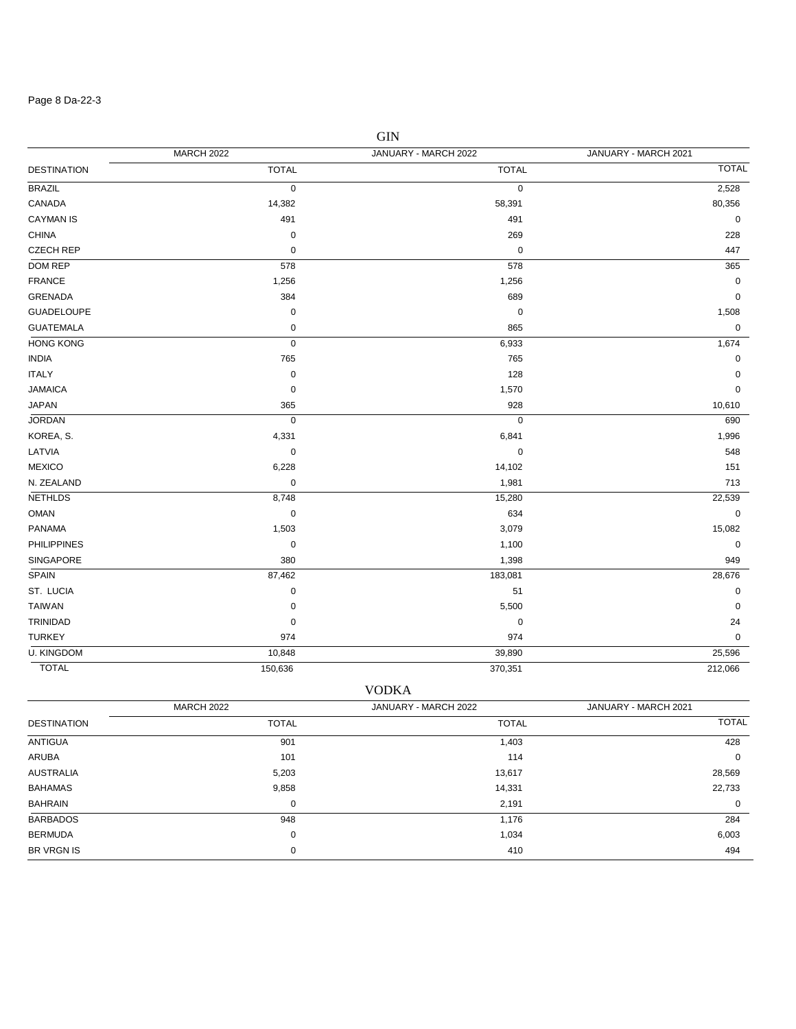### Page 8 Da-22-3

|                    | <b>MARCH 2022</b> | JANUARY - MARCH 2022 | JANUARY - MARCH 2021 |
|--------------------|-------------------|----------------------|----------------------|
| <b>DESTINATION</b> | <b>TOTAL</b>      | <b>TOTAL</b>         | <b>TOTAL</b>         |
| <b>BRAZIL</b>      | $\pmb{0}$         | 0                    | 2,528                |
| CANADA             | 14,382            | 58,391               | 80,356               |
| <b>CAYMAN IS</b>   | 491               | 491                  | $\mathbf 0$          |
| <b>CHINA</b>       | $\pmb{0}$         | 269                  | 228                  |
| <b>CZECH REP</b>   | $\mathbf 0$       | $\mathbf 0$          | 447                  |
| DOM REP            | 578               | 578                  | 365                  |
| <b>FRANCE</b>      | 1,256             | 1,256                | $\mathbf 0$          |
| <b>GRENADA</b>     | 384               | 689                  | $\pmb{0}$            |
| <b>GUADELOUPE</b>  | $\pmb{0}$         | $\boldsymbol{0}$     | 1,508                |
| <b>GUATEMALA</b>   | $\pmb{0}$         | 865                  | $\mathbf 0$          |
| <b>HONG KONG</b>   | $\mathbf 0$       | 6,933                | 1,674                |
| <b>INDIA</b>       | 765               | 765                  | $\mathbf 0$          |
| <b>ITALY</b>       | $\pmb{0}$         | 128                  | $\mathbf 0$          |
| <b>JAMAICA</b>     | $\pmb{0}$         | 1,570                | $\mathbf 0$          |
| <b>JAPAN</b>       | 365               | 928                  | 10,610               |
| <b>JORDAN</b>      | $\pmb{0}$         | $\mathbf 0$          | 690                  |
| KOREA, S.          | 4,331             | 6,841                | 1,996                |
| LATVIA             | $\mathbf 0$       | $\mathbf 0$          | 548                  |
| <b>MEXICO</b>      | 6,228             | 14,102               | 151                  |
| N. ZEALAND         | $\pmb{0}$         | 1,981                | 713                  |
| <b>NETHLDS</b>     | 8,748             | 15,280               | 22,539               |
| OMAN               | $\mathbf 0$       | 634                  | $\mathbf 0$          |
| PANAMA             | 1,503             | 3,079                | 15,082               |
| <b>PHILIPPINES</b> | $\pmb{0}$         | 1,100                | 0                    |
| SINGAPORE          | 380               | 1,398                | 949                  |
| SPAIN              | 87,462            | 183,081              | 28,676               |
| ST. LUCIA          | $\mathbf 0$       | 51                   | $\mathbf 0$          |
| <b>TAIWAN</b>      | $\mathbf 0$       | 5,500                | $\mathbf 0$          |
| TRINIDAD           | $\pmb{0}$         | $\pmb{0}$            | 24                   |
| <b>TURKEY</b>      | 974               | 974                  | $\mathbf 0$          |
| <b>U. KINGDOM</b>  | 10,848            | 39,890               | 25,596               |
| <b>TOTAL</b>       | 150,636           | 370,351              | 212,066              |

|                    |                   | <b>VODKA</b>         |                      |
|--------------------|-------------------|----------------------|----------------------|
|                    | <b>MARCH 2022</b> | JANUARY - MARCH 2022 | JANUARY - MARCH 2021 |
| <b>DESTINATION</b> | <b>TOTAL</b>      | <b>TOTAL</b>         | <b>TOTAL</b>         |
| <b>ANTIGUA</b>     | 901               | 1,403                | 428                  |
| ARUBA              | 101               | 114                  | 0                    |
| <b>AUSTRALIA</b>   | 5,203             | 13,617               | 28,569               |
| <b>BAHAMAS</b>     | 9,858             | 14,331               | 22,733               |
| <b>BAHRAIN</b>     | 0                 | 2,191                | 0                    |
| <b>BARBADOS</b>    | 948               | 1,176                | 284                  |
| <b>BERMUDA</b>     | 0                 | 1,034                | 6,003                |
| <b>BR VRGN IS</b>  | 0                 | 410                  | 494                  |

GIN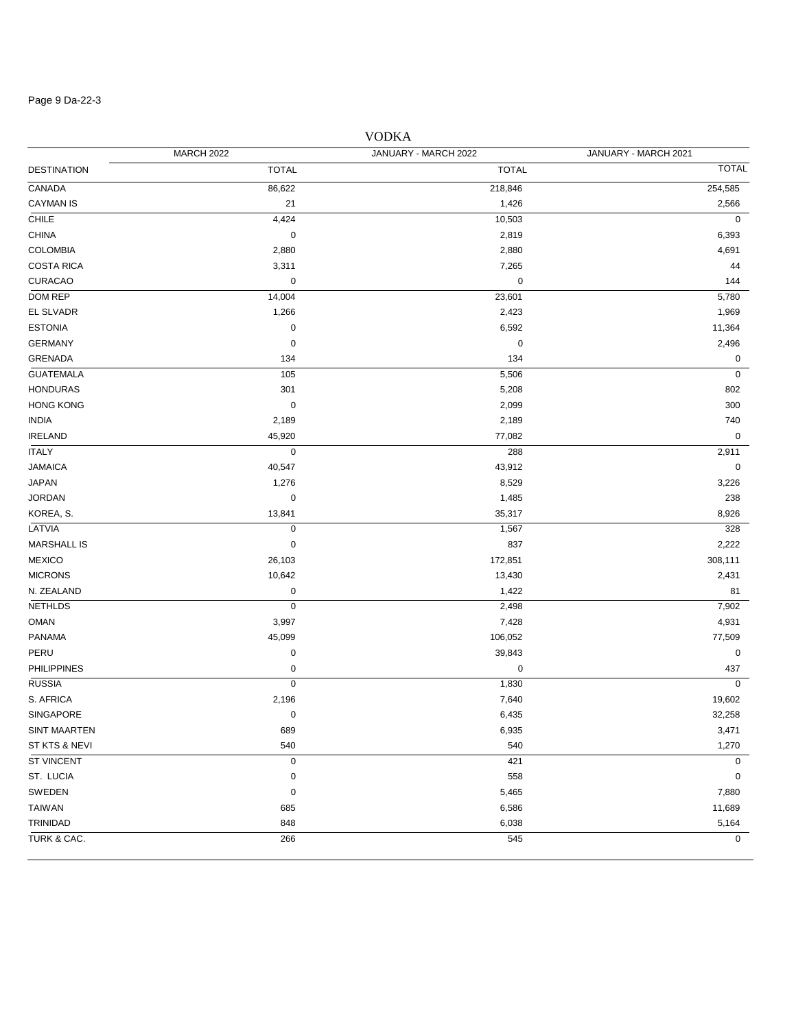#### Page 9 Da-22-3

# DESTINATION TOTAL TOTAL TOTAL MARCH 2022 JANUARY - MARCH 2022 JANUARY - MARCH 2021 CANADA 86,622 218,846 254,585  $C$ AYMAN IS  $21$   $21$   $21$   $22$   $2566$ CHILE 4,424 10,503 0 CHINA 0 2,819 6,393 COLOMBIA 2,880 2,880 4,691  $\text{COSTA RICA} \quad 3.311 \quad 3.311$ CURACAO 0 0 144 DOM REP 14,004 23,601 5,780 EL SLVADR 1,266 2,423 1,969 ESTONIA 0 6,592 11,364 GERMANY 0 0 2,496 GRENADA 134 134 0  $G$ UATEMALA  $105$   $105$   $5,506$   $0$   $100$ HONDURAS 301 5,208 802 HONG KONG 0 2,099 300 INDIA 2,189 2,189 740 الله المسابق المسابق المسابق المسابق المسابق المسابق المسابق المسابق المسابق المسابق المسابق المسابق المسابق ا ITALY 0 288 2,911 JAMAICA 40,547 43,912 0 JAPAN 1,276 8,529 3,226 JORDAN 0 1,485 238 KOREA, S. 13,841 35,317 8,926 LATVIA 0 1,567 328 MARSHALL IS 0 837 2,222 MEXICO 26,103 172,851 308,111 MICRONS 2,431 2,430 2,431 2,431 2,431 2,431 2,431 2,431 2,431 2,431 2,431 2,431 2,431 2,431 2,431 2,431 2,431 N. ZEALAND 0 1,422 81 NETHLDS 0 2,498 7,902 OMAN 3,997 3,997 3,997 3,997 3,997 3,997 3,997 3,997 4,931 4,931 4,931 4,931 4,931 PANAMA 45,099 106,052 77,509 PERU 0 39,843 0 PHILIPPINES 0 0 437  $\sim$  RUSSIA 0  $\sim$  0  $\sim$  0  $\sim$  1,830  $\sim$  0  $\sim$ S. AFRICA 2,196 7,640 19,602  $\rm SINGAPORE$  . The contract of the contract of the contract of the contract of the contract of the contract of the contract of the contract of the contract of the contract of the contract of the contract of the contract of th SINT MAARTEN 689 6,935 6,935 6,936 6,937 6,937 6,938 6,938 6,937 6,938 6,938 6,938 6,938 6,938 6,938 6,938 6,9 ST KTS & NEVI 540 540 1,270 ST VINCENT GO AND THE RESERVE OF THE RESERVE OF THE RESERVE OF THE RESERVE OF THE RESERVE OF THE RESERVE OF THE RESERVE OF THE RESERVE OF THE RESERVE OF THE RESERVE OF THE RESERVE OF THE RESERVE OF THE RESERVE OF THE RESER ST. LUCIA  $\qquad \qquad 0 \qquad \qquad$  558  $\qquad \qquad 0$ SWEDEN 0 5,465 7,880 TAIWAN 685 6,586 11,689 TRINIDAD 848 6,038 5,164 TURK & CAC.  $\begin{array}{ccccccc} & 266 & & & & 545 & & & \ & & 0 & & 0 & & 0 \end{array}$

### VODKA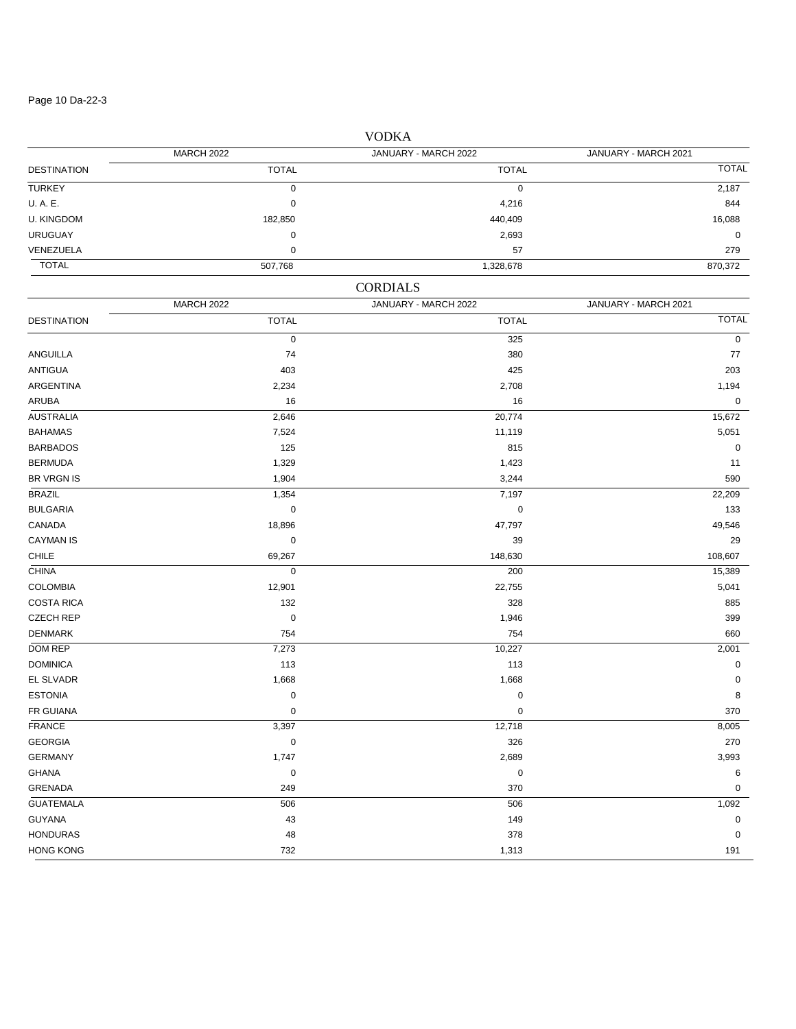#### Page 10 Da-22-3

DESTINATION TOTAL TOTAL TOTAL MARCH 2022 JANUARY - MARCH 2022 JANUARY - MARCH 2021 TURKEY 0 0 2,187 U. A. E. 0 4,216 844 U. KINGDOM 182,850 440,409 16,088 URUGUAY 0 2,693 0 VENEZUELA 0 57 279 TOTAL 507,768 1,328,678 870,372 DESTINATION TOTAL TOTAL TOTAL CORDIALS MARCH 2022 JANUARY - MARCH 2022 JANUARY - MARCH 2021 0 and  $\frac{325}{100}$  by  $\frac{325}{100}$  by  $\frac{325}{100}$  by  $\frac{325}{100}$  by  $\frac{325}{100}$  by  $\frac{325}{100}$  by  $\frac{325}{100}$  by  $\frac{325}{100}$  by  $\frac{325}{100}$  by  $\frac{325}{100}$  by  $\frac{325}{100}$  by  $\frac{325}{100}$  by  $\frac{325}{100$ ANGUILLA 74 380 77 ANTIGUA 403 425 203 ARGENTINA 2,234 2,708 1,194  $\,$  ARUBA 16  $\,$  0  $\,$   $\,$  16  $\,$  0  $\,$   $\,$  16  $\,$  0  $\,$  0  $\,$  0  $\,$  0  $\,$  0  $\,$  0  $\,$  0  $\,$  0  $\,$  0  $\,$  0  $\,$  0  $\,$  0  $\,$  0  $\,$  0  $\,$  0  $\,$  0  $\,$  0  $\,$  0  $\,$  0  $\,$  0  $\,$  0  $\,$  0  $\,$  0  $\,$  0 AUSTRALIA 2,646 20,774 15,672 BAHAMAS 7,524 11,119 5,051 BARBADOS 125 815 0 BERMUDA 1,329 1,423 11  $1,904$   $3,244$  590 BRAZIL 1,354 7,197 22,209 BULGARIA 0 0 133 CANADA 18,896 47,797 49,546  $\sim$  CAYMAN IS  $\sim$  29 CHILE 69,267 148,630 108,607 CHINA 0 200 15,389 COLOMBIA 12,901 22,755 5,041  $\text{COSTA RICA}$  885  $CZECH REP$  . The contract of the contract of the contract of the contract of the contract of the contract of the contract of the contract of the contract of the contract of the contract of the contract of the contract of the DENMARK 754 754 660 DOM REP 7,273 10,227 2,001 DOMINICA 113 113 0  $1,668$  0  $1,668$  0  $1,668$  0  $1,668$  0  $1,668$  0  $1,668$  0  $1,668$  0  $1,668$  0  $1,668$  0  $1,668$  0  $1,668$  0  $1,668$  0  $1,668$  0  $1,668$  0  $1,668$  0  $1,668$  0  $1,668$  0  $1,668$  0  $1,668$  0  $1,668$  0  $1,668$  0  $1,668$  0 ESTONIA 0 0 8 FR GUIANA 0 0 370 FRANCE 3,397 12,718 8,005 GEORGIA 0 326 270 GERMANY 1,747 2,689 3,993 GHANA 0 0 6 GRENADA 249 370 0  $G$ UATEMALA  $1,092$ GUYANA 43 149 0 HONDURAS 48 378 0 HONG KONG 732 1,313 191

### VODKA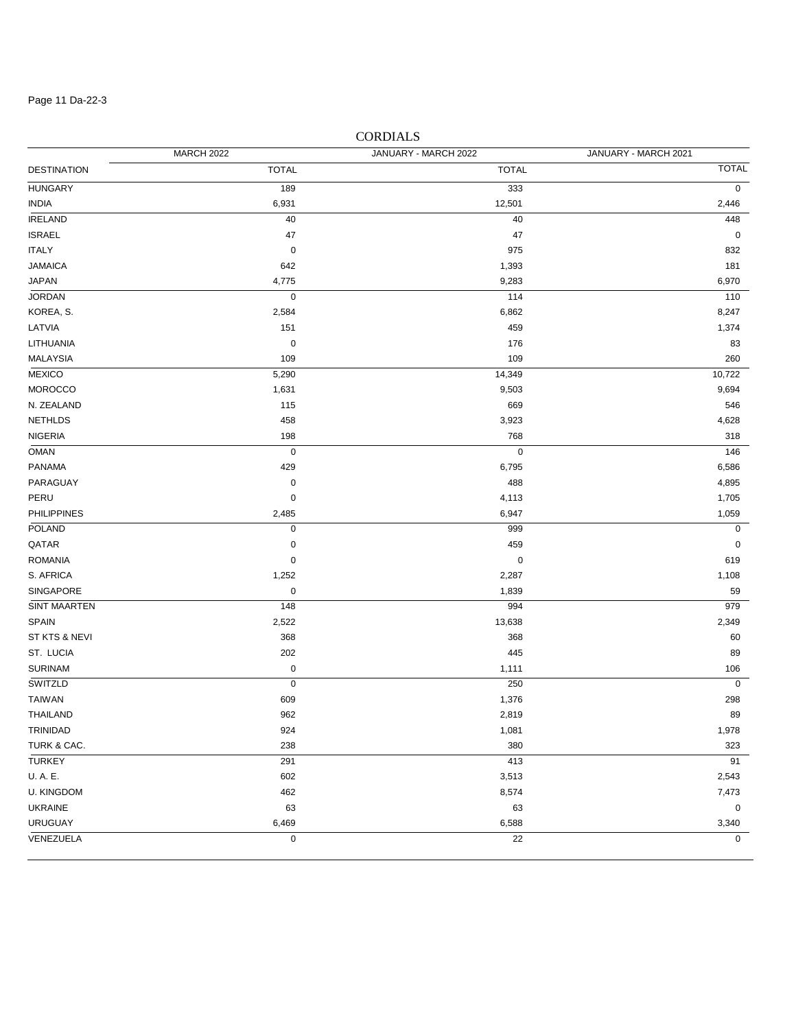#### Page 11 Da-22-3

# DESTINATION TOTAL TOTAL TOTAL MARCH 2022 JANUARY - MARCH 2022 JANUARY - MARCH 2021 HUNGARY 189 333 0 INDIA 6,931 12,501 2,446 IRELAND 40 40 448  $\begin{array}{ccccccc} \text{ISRAEL} & & & & 47 & & \text{I} \end{array}$ ITALY 0 975 832 JAMAICA 642 1,393 181 JAPAN 4,775 9,283 6,970 JORDAN 0 114 110 KOREA, S. 2,584 6,862 8,247 LATVIA 151 459 1,374 LITHUANIA 0 176 83 MALAYSIA 109 109 260 MEXICO 5,290 14,349 10,722 MOROCCO 1,631 9,503 9,694 N. ZEALAND 115 669 546 NETHLDS 458 3,923 4,628 NIGERIA 198 - 198 - 198 - 198 - 198 - 198 - 198 - 198 - 198 - 198 - 198 - 198 - 198 - 198 - 198 - 198 - 198 - 1 OMAN 0 0 146 PANAMA 429 6,795 6,586 PARAGUAY 0 488 4,895 0 1,705 لـ 1,705 لـ 4,113 لـ 4,113 لـ 4,113 لـ 4,113 لـ 4,113 لـ 4,113 لـ 4,113 لـ 4,113 لـ 4,113 لـ 4,1705 لـ PHILIPPINES 2,485 6,947 1,059 POLAND 0 999 0  $\begin{array}{ccccccc}\textsf{QATAR} & & & & 0 & & & & 0\end{array}$  $\sim$  ROMANIA  $\sim$  619 S. AFRICA 1,252 2,287 1,108 SINGAPORE 0 1,839 59 SINT MAARTEN 148 994 979 SPAIN 2,549 2,522 2,522 2,522 2,549 2,349 2,349 2,349 2,349 2,349 2,349 2,349 2,522 2,522 2,522 2,524 2,522 2,534 ST KTS & NEVI 368 368 60 ST. LUCIA 202 445 89  $\sim$  5URINAM  $\sim$  0  $\sim$  1,111  $\sim$  106 SWITZLD 0 250 0 TAIWAN 609 1,376 298 THAILAND 962 2,819 89 TRINIDAD 924 1,081 1,978 TURK & CAC. 238 380 323 TURKEY 291 413 91 U. A. E. 602 3,513 2,543 U. KINGDOM 462 8,574 7,473 UKRAINE 63 63 0 URUGUAY 6,469 6,588 3,340 VENEZUELA 0 22 0

### CORDIALS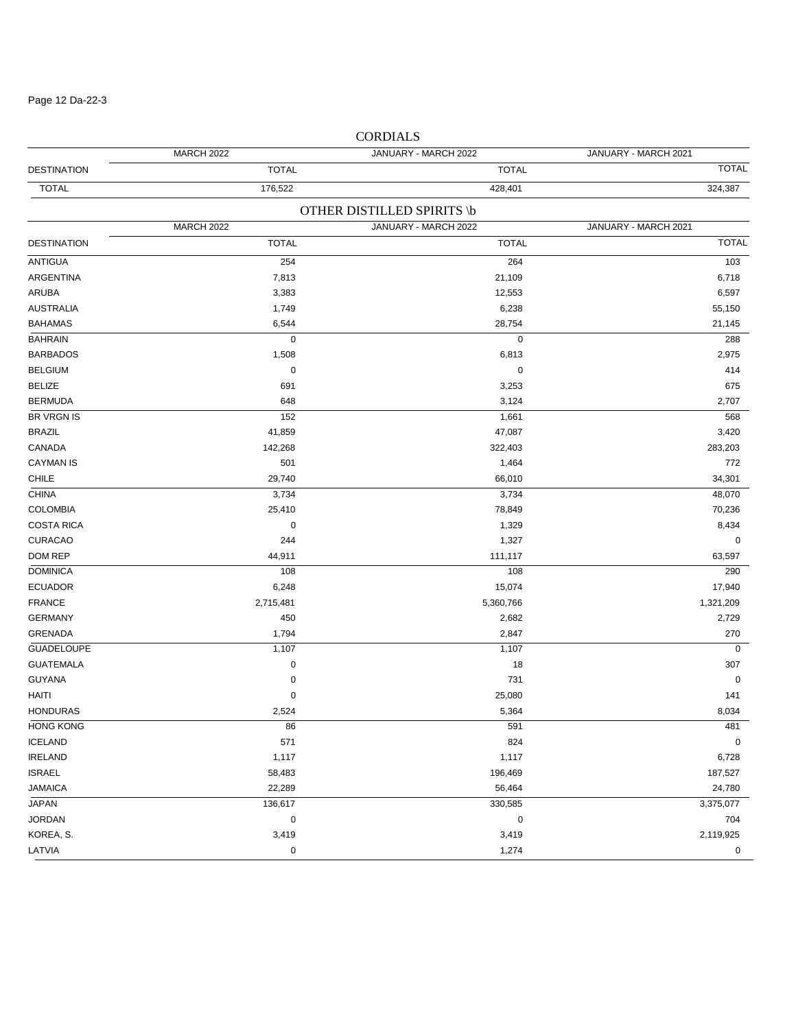### Page 12 Da-22-3

|                    | <b>MARCH 2022</b> | JANUARY - MARCH 2022       | JANUARY - MARCH 2021 |
|--------------------|-------------------|----------------------------|----------------------|
| <b>DESTINATION</b> | <b>TOTAL</b>      | <b>TOTAL</b>               | <b>TOTAL</b>         |
| <b>TOTAL</b>       | 176,522           | 428,401                    | 324,387              |
|                    |                   | OTHER DISTILLED SPIRITS \b |                      |
|                    | <b>MARCH 2022</b> | JANUARY - MARCH 2022       | JANUARY - MARCH 2021 |
| <b>DESTINATION</b> | <b>TOTAL</b>      | <b>TOTAL</b>               | <b>TOTAL</b>         |
| ANTIGUA            | 254               | 264                        | 103                  |
| ARGENTINA          | 7,813             | 21,109                     | 6,718                |
| ARUBA              | 3,383             | 12,553                     | 6,597                |
| <b>AUSTRALIA</b>   | 1,749             | 6,238                      | 55,150               |
| <b>BAHAMAS</b>     | 6,544             | 28,754                     | 21,145               |
| <b>BAHRAIN</b>     | 0                 | $\pmb{0}$                  | 288                  |
| <b>BARBADOS</b>    | 1,508             | 6,813                      | 2,975                |
| <b>BELGIUM</b>     | 0                 | 0                          | 414                  |
| <b>BELIZE</b>      | 691               | 3,253                      | 675                  |
| <b>BERMUDA</b>     | 648               | 3,124                      | 2,707                |
| <b>BR VRGN IS</b>  | 152               | 1,661                      | 568                  |
| <b>BRAZIL</b>      | 41,859            | 47,087                     | 3,420                |
| CANADA             | 142,268           | 322,403                    | 283,203              |
| <b>CAYMAN IS</b>   | 501               | 1,464                      | 772                  |
| CHILE              | 29,740            | 66,010                     | 34,301               |
| <b>CHINA</b>       | 3,734             | 3,734                      | 48,070               |
| <b>COLOMBIA</b>    | 25,410            | 78,849                     | 70,236               |
| <b>COSTA RICA</b>  | 0                 | 1,329                      | 8,434                |
| <b>CURACAO</b>     | 244               | 1,327                      | 0                    |
| DOM REP            | 44,911            | 111,117                    | 63,597               |
| <b>DOMINICA</b>    | 108               | 108                        | 290                  |
| <b>ECUADOR</b>     | 6,248             | 15,074                     | 17,940               |
| <b>FRANCE</b>      | 2,715,481         | 5,360,766                  | 1,321,209            |
| <b>GERMANY</b>     | 450               | 2,682                      | 2,729                |
| <b>GRENADA</b>     | 1,794             | 2,847                      | 270                  |
| <b>GUADELOUPE</b>  | 1,107             | 1,107                      | $\mathbf 0$          |
| <b>GUATEMALA</b>   | 0                 | 18                         | 307                  |
| <b>GUYANA</b>      | 0                 | 731                        | 0                    |
| HAITI              | 0                 | 25,080                     | 141                  |
| <b>HONDURAS</b>    | 2,524             | 5,364                      | 8,034                |
| <b>HONG KONG</b>   | 86                | 591                        | 481                  |
| <b>ICELAND</b>     | 571               | 824                        | $\pmb{0}$            |
| <b>IRELAND</b>     | 1,117             | 1,117                      | 6,728                |
| <b>ISRAEL</b>      | 58,483            | 196,469                    | 187,527              |
| <b>JAMAICA</b>     | 22,289            | 56,464                     | 24,780               |
| JAPAN              | 136,617           | 330,585                    | 3,375,077            |
| <b>JORDAN</b>      | $\pmb{0}$         | 0                          | 704                  |
| KOREA, S.          | 3,419             | 3,419                      | 2,119,925            |
| LATVIA             | $\pmb{0}$         | 1,274                      | 0                    |

# CORDIALS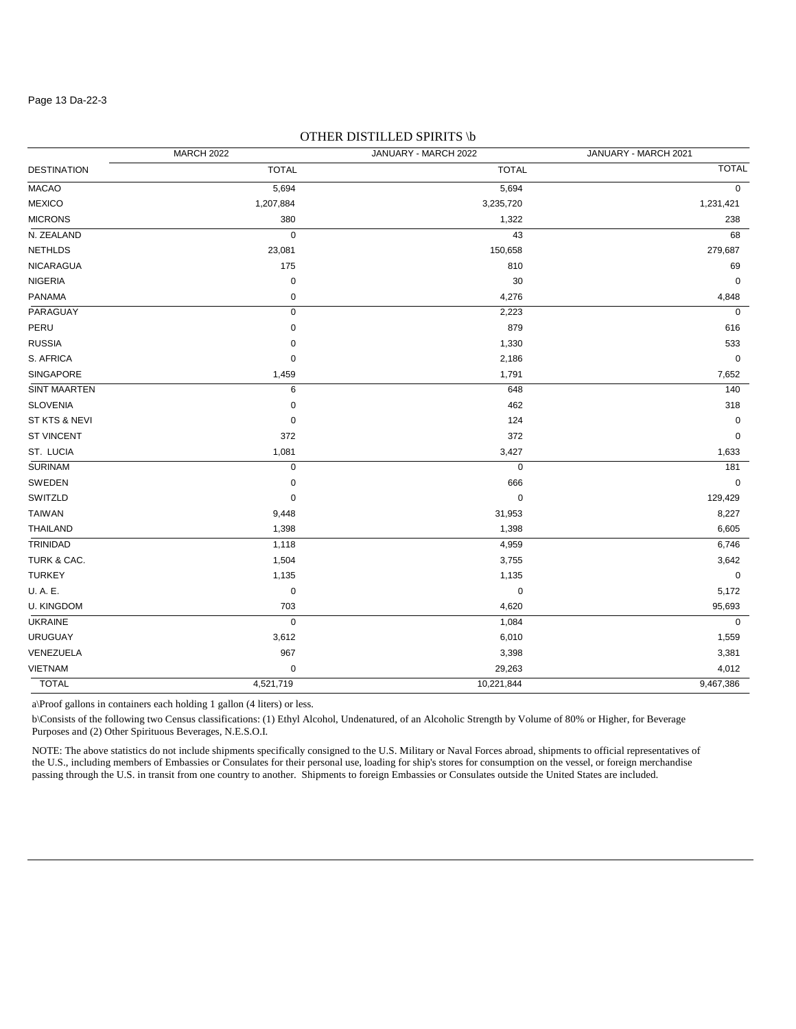#### Page 13 Da-22-3

|                     | <b>MARCH 2022</b> | $        -$<br>JANUARY - MARCH 2022 | JANUARY - MARCH 2021 |
|---------------------|-------------------|-------------------------------------|----------------------|
| <b>DESTINATION</b>  | <b>TOTAL</b>      | <b>TOTAL</b>                        | <b>TOTAL</b>         |
| <b>MACAO</b>        | 5,694             | 5,694                               | $\mathbf 0$          |
| <b>MEXICO</b>       | 1,207,884         | 3,235,720                           | 1,231,421            |
| <b>MICRONS</b>      | 380               | 1,322                               | 238                  |
| N. ZEALAND          | $\mathbf 0$       | 43                                  | 68                   |
| <b>NETHLDS</b>      | 23,081            | 150,658                             | 279,687              |
| <b>NICARAGUA</b>    | 175               | 810                                 | 69                   |
| <b>NIGERIA</b>      | $\pmb{0}$         | 30                                  | $\mathbf 0$          |
| <b>PANAMA</b>       | 0                 | 4,276                               | 4,848                |
| PARAGUAY            | $\mathbf 0$       | 2,223                               | $\mathbf 0$          |
| PERU                | 0                 | 879                                 | 616                  |
| <b>RUSSIA</b>       | 0                 | 1,330                               | 533                  |
| S. AFRICA           | $\pmb{0}$         | 2,186                               | $\pmb{0}$            |
| SINGAPORE           | 1,459             | 1,791                               | 7,652                |
| <b>SINT MAARTEN</b> | 6                 | 648                                 | 140                  |
| <b>SLOVENIA</b>     | 0                 | 462                                 | 318                  |
| ST KTS & NEVI       | $\pmb{0}$         | 124                                 | $\pmb{0}$            |
| <b>ST VINCENT</b>   | 372               | 372                                 | $\pmb{0}$            |
| ST. LUCIA           | 1,081             | 3,427                               | 1,633                |
| <b>SURINAM</b>      | 0                 | $\pmb{0}$                           | 181                  |
| SWEDEN              | $\pmb{0}$         | 666                                 | $\pmb{0}$            |
| SWITZLD             | $\pmb{0}$         | $\pmb{0}$                           | 129,429              |
| <b>TAIWAN</b>       | 9,448             | 31,953                              | 8,227                |
| THAILAND            | 1,398             | 1,398                               | 6,605                |
| TRINIDAD            | 1,118             | 4,959                               | 6,746                |
| TURK & CAC.         | 1,504             | 3,755                               | 3,642                |
| <b>TURKEY</b>       | 1,135             | 1,135                               | $\mathbf 0$          |
| U.A.E.              | $\pmb{0}$         | $\mathbf 0$                         | 5,172                |
| <b>U. KINGDOM</b>   | 703               | 4,620                               | 95,693               |
| <b>UKRAINE</b>      | $\pmb{0}$         | 1,084                               | $\mathbf 0$          |
| <b>URUGUAY</b>      | 3,612             | 6,010                               | 1,559                |
| VENEZUELA           | 967               | 3,398                               | 3,381                |
| <b>VIETNAM</b>      | $\pmb{0}$         | 29,263                              | 4,012                |
| <b>TOTAL</b>        | 4,521,719         | 10,221,844                          | 9,467,386            |

### OTHER DISTILLED SPIRITS \b

a\Proof gallons in containers each holding 1 gallon (4 liters) or less.

b\Consists of the following two Census classifications: (1) Ethyl Alcohol, Undenatured, of an Alcoholic Strength by Volume of 80% or Higher, for Beverage Purposes and (2) Other Spirituous Beverages, N.E.S.O.I.

NOTE: The above statistics do not include shipments specifically consigned to the U.S. Military or Naval Forces abroad, shipments to official representatives of the U.S., including members of Embassies or Consulates for their personal use, loading for ship's stores for consumption on the vessel, or foreign merchandise passing through the U.S. in transit from one country to another. Shipments to foreign Embassies or Consulates outside the United States are included.